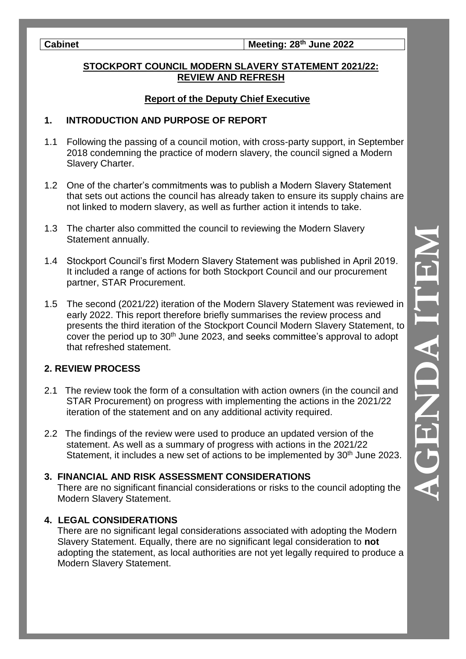# **Cabinet Meeting: 28th June 2022**

## **STOCKPORT COUNCIL MODERN SLAVERY STATEMENT 2021/22: REVIEW AND REFRESH**

# **Report of the Deputy Chief Executive**

# **1. INTRODUCTION AND PURPOSE OF REPORT**

- 1.1 Following the passing of a council motion, with cross-party support, in September 2018 condemning the practice of modern slavery, the council signed a Modern Slavery Charter.
- 1.2 One of the charter's commitments was to publish a Modern Slavery Statement that sets out actions the council has already taken to ensure its supply chains are not linked to modern slavery, as well as further action it intends to take.
- 1.3 The charter also committed the council to reviewing the Modern Slavery Statement annually.
- 1.4 Stockport Council's first Modern Slavery Statement was published in April 2019. It included a range of actions for both Stockport Council and our procurement partner, STAR Procurement.
- 1.5 The second (2021/22) iteration of the Modern Slavery Statement was reviewed in early 2022. This report therefore briefly summarises the review process and presents the third iteration of the Stockport Council Modern Slavery Statement, to cover the period up to 30<sup>th</sup> June 2023, and seeks committee's approval to adopt that refreshed statement.

# **2. REVIEW PROCESS**

- 2.1 The review took the form of a consultation with action owners (in the council and STAR Procurement) on progress with implementing the actions in the 2021/22 iteration of the statement and on any additional activity required.
- 2.2 The findings of the review were used to produce an updated version of the statement. As well as a summary of progress with actions in the 2021/22 Statement, it includes a new set of actions to be implemented by 30<sup>th</sup> June 2023.

# **3. FINANCIAL AND RISK ASSESSMENT CONSIDERATIONS**

 There are no significant financial considerations or risks to the council adopting the Modern Slavery Statement.

#### **4. LEGAL CONSIDERATIONS**

 There are no significant legal considerations associated with adopting the Modern Slavery Statement. Equally, there are no significant legal consideration to **not** adopting the statement, as local authorities are not yet legally required to produce a Modern Slavery Statement.